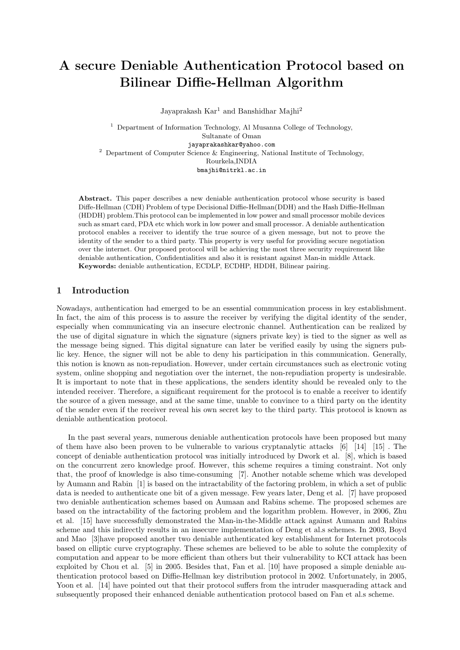# A secure Deniable Authentication Protocol based on Bilinear Diffie-Hellman Algorithm

Jayaprakash  $\text{Kar}^1$  and Banshidhar Majhi<sup>2</sup>

<sup>1</sup> Department of Information Technology, Al Musanna College of Technology, Sultanate of Oman jayaprakashkar@yahoo.com <sup>2</sup> Department of Computer Science & Engineering, National Institute of Technology, Rourkela,INDIA bmajhi@nitrkl.ac.in

Abstract. This paper describes a new deniable authentication protocol whose security is based Diffe-Hellman (CDH) Problem of type Decisional Diffie-Hellman(DDH) and the Hash Diffie-Hellman (HDDH) problem.This protocol can be implemented in low power and small processor mobile devices such as smart card, PDA etc which work in low power and small processor. A deniable authentication protocol enables a receiver to identify the true source of a given message, but not to prove the identity of the sender to a third party. This property is very useful for providing secure negotiation over the internet. Our proposed protocol will be achieving the most three security requirement like deniable authentication, Confidentialities and also it is resistant against Man-in middle Attack. Keywords: deniable authentication, ECDLP, ECDHP, HDDH, Bilinear pairing.

# 1 Introduction

Nowadays, authentication had emerged to be an essential communication process in key establishment. In fact, the aim of this process is to assure the receiver by verifying the digital identity of the sender, especially when communicating via an insecure electronic channel. Authentication can be realized by the use of digital signature in which the signature (signers private key) is tied to the signer as well as the message being signed. This digital signature can later be verified easily by using the signers public key. Hence, the signer will not be able to deny his participation in this communication. Generally, this notion is known as non-repudiation. However, under certain circumstances such as electronic voting system, online shopping and negotiation over the internet, the non-repudiation property is undesirable. It is important to note that in these applications, the senders identity should be revealed only to the intended receiver. Therefore, a significant requirement for the protocol is to enable a receiver to identify the source of a given message, and at the same time, unable to convince to a third party on the identity of the sender even if the receiver reveal his own secret key to the third party. This protocol is known as deniable authentication protocol.

In the past several years, numerous deniable authentication protocols have been proposed but many of them have also been proven to be vulnerable to various cryptanalytic attacks [6] [14] [15] . The concept of deniable authentication protocol was initially introduced by Dwork et al. [8], which is based on the concurrent zero knowledge proof. However, this scheme requires a timing constraint. Not only that, the proof of knowledge is also time-consuming [7]. Another notable scheme which was developed by Aumann and Rabin [1] is based on the intractability of the factoring problem, in which a set of public data is needed to authenticate one bit of a given message. Few years later, Deng et al. [7] have proposed two deniable authentication schemes based on Aumaan and Rabins scheme. The proposed schemes are based on the intractability of the factoring problem and the logarithm problem. However, in 2006, Zhu et al. [15] have successfully demonstrated the Man-in-the-Middle attack against Aumann and Rabins scheme and this indirectly results in an insecure implementation of Deng et al.s schemes. In 2003, Boyd and Mao [3]have proposed another two deniable authenticated key establishment for Internet protocols based on elliptic curve cryptography. These schemes are believed to be able to solute the complexity of computation and appear to be more efficient than others but their vulnerability to KCI attack has been exploited by Chou et al. [5] in 2005. Besides that, Fan et al. [10] have proposed a simple deniable authentication protocol based on Diffie-Hellman key distribution protocol in 2002. Unfortunately, in 2005, Yoon et al. [14] have pointed out that their protocol suffers from the intruder masquerading attack and subsequently proposed their enhanced deniable authentication protocol based on Fan et al.s scheme.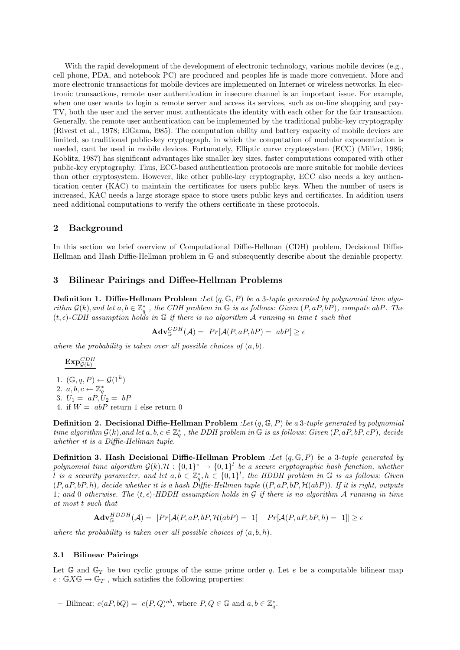With the rapid development of the development of electronic technology, various mobile devices (e.g., cell phone, PDA, and notebook PC) are produced and peoples life is made more convenient. More and more electronic transactions for mobile devices are implemented on Internet or wireless networks. In electronic transactions, remote user authentication in insecure channel is an important issue. For example, when one user wants to login a remote server and access its services, such as on-line shopping and pay-TV, both the user and the server must authenticate the identity with each other for the fair transaction. Generally, the remote user authentication can be implemented by the traditional public-key cryptography (Rivest et al., 1978; ElGama, l985). The computation ability and battery capacity of mobile devices are limited, so traditional public-key cryptograph, in which the computation of modular exponentiation is needed, cant be used in mobile devices. Fortunately, Elliptic curve cryptosystem (ECC) (Miller, 1986; Koblitz, 1987) has significant advantages like smaller key sizes, faster computations compared with other public-key cryptography. Thus, ECC-based authentication protocols are more suitable for mobile devices than other cryptosystem. However, like other public-key cryptography, ECC also needs a key authentication center (KAC) to maintain the certificates for users public keys. When the number of users is increased, KAC needs a large storage space to store users public keys and certificates. In addition users need additional computations to verify the others certificate in these protocols.

### 2 Background

In this section we brief overview of Computational Diffie-Hellman (CDH) problem, Decisional Diffie-Hellman and Hash Diffie-Hellman problem in G and subsequently describe about the deniable property.

#### 3 Bilinear Pairings and Diffee-Hellman Problems

**Definition 1. Diffie-Hellman Problem** :Let  $(q, \mathbb{G}, P)$  be a 3-tuple generated by polynomial time algorithm  $\mathcal{G}(k)$ , and let  $a, b \in \mathbb{Z}_q^*$ , the CDH problem in  $\mathbb G$  is as follows: Given  $(P, aP, bP)$ , compute abP. The  $(t, \epsilon)$ -CDH assumption holds in G if there is no algorithm A running in time t such that

$$
\mathbf{Adv}_{\mathbb{G}}^{CDH}(\mathcal{A}) = Pr[\mathcal{A}(P, aP, bP) = abP] \ge \epsilon
$$

where the probability is taken over all possible choices of  $(a, b)$ .

$$
\underline{\mathrm{Exp}^{CDH}_{\mathcal{G}(k)}}
$$

1.  $(\mathbb{G}, q, P) \leftarrow \mathcal{G}(1^k)$ 2.  $a, b, c \leftarrow \mathbb{Z}_q^*$ <br>3.  $U_1 = aP, U_2 = bP$ 

4. if  $W = abP$  return 1 else return 0

**Definition 2. Decisional Diffie-Hellman Problem** :Let  $(q, \mathbb{G}, P)$  be a 3-tuple generated by polynomial time algorithm  $G(k)$ , and let  $a, b, c \in \mathbb{Z}_q^*$ , the DDH problem in  $\mathbb G$  is as follows: Given  $(P, aP, bP, cP)$ , decide whether it is a Diffie-Hellman tuple.

**Definition 3. Hash Decisional Diffie-Hellman Problem** :Let  $(q, \mathbb{G}, P)$  be a 3-tuple generated by polynomial time algorithm  $G(k)$ , $H: \{0,1\}^* \to \{0,1\}^l$  be a secure cryptographic hash function, whether l is a security parameter, and let  $a, b \in \mathbb{Z}_q^*, h \in \{0,1\}^l$ , the HDDH problem in G is as follows: Given  $(P, aP, bP, h)$ , decide whether it is a hash Diffie-Hellman tuple  $((P, aP, bP, \mathcal{H}(abP))$ . If it is right, outputs 1; and 0 otherwise. The  $(t, \epsilon)$ -HDDH assumption holds in G if there is no algorithm A running in time at most t such that

$$
\mathbf{Adv}_{\mathbb{G}}^{HDDH}(\mathcal{A}) = |Pr[\mathcal{A}(P, aP, bP, \mathcal{H}(abP) = 1] - Pr[\mathcal{A}(P, aP, bP, h) = 1]| \ge \epsilon
$$

where the probability is taken over all possible choices of  $(a, b, h)$ .

#### 3.1 Bilinear Pairings

Let  $\mathbb{G}$  and  $\mathbb{G}_T$  be two cyclic groups of the same prime order q. Let e be a computable bilinear map  $e : \mathbb{G} X \mathbb{G} \to \mathbb{G}_T$ , which satisfies the following properties:

- Bilinear:  $e(aP, bQ) = e(P, Q)^{ab}$ , where  $P, Q \in \mathbb{G}$  and  $a, b \in \mathbb{Z}_q^*$ .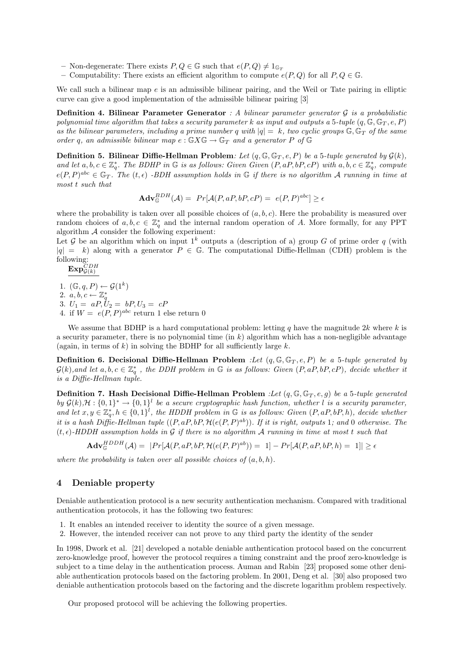- Non-degenerate: There exists  $P, Q \in \mathbb{G}$  such that  $e(P, Q) \neq 1_{\mathbb{G}_T}$ <br>– Computability: There exists an efficient algorithm to compute  $e$
- Computability: There exists an efficient algorithm to compute  $e(P,Q)$  for all  $P,Q \in \mathbb{G}$ .

We call such a bilinear map  $e$  is an admissible bilinear pairing, and the Weil or Tate pairing in elliptic curve can give a good implementation of the admissible bilinear pairing [3]

**Definition 4. Bilinear Parameter Generator** : A bilinear parameter generator  $\mathcal G$  is a probabilistic polynomial time algorithm that takes a security parameter k as input and outputs a 5-tuple  $(q, \mathbb{G}, \mathbb{G}_T, e, P)$ as the bilinear parameters, including a prime number q with  $|q| = k$ , two cyclic groups  $\mathbb{G}, \mathbb{G}_T$  of the same order q, an admissible bilinear map  $e : \mathbb{G} X \mathbb{G} \to \mathbb{G}_T$  and a generator P of  $\mathbb{G}$ 

**Definition 5. Bilinear Diffie-Hellman Problem**: Let  $(q, \mathbb{G}, \mathbb{G}_T, e, P)$  be a 5-tuple generated by  $\mathcal{G}(k)$ , and let  $a, b, c \in \mathbb{Z}_q^*$ . The BDHP in  $\mathbb G$  is as follows: Given Given  $(P, aP, bP, cP)$  with  $a, b, c \in \mathbb{Z}_q^*$ , compute  $e(P, P)^{abc} \in \mathbb{G}_T$ . The  $(t, \epsilon)$  -BDH assumption holds in  $\mathbb{G}$  if there is no algorithm A running in time at most t such that

$$
\mathbf{Adv}_{\mathbb{G}}^{BDH}(\mathcal{A}) = Pr[\mathcal{A}(P, aP, bP, cP) = e(P, P)^{abc}] \ge \epsilon
$$

where the probability is taken over all possible choices of  $(a, b, c)$ . Here the probability is measured over random choices of  $a, b, c \in \mathbb{Z}_q^*$  and the internal random operation of A. More formally, for any PPT algorithm  $A$  consider the following experiment:

Let G be an algorithm which on input  $1^k$  outputs a (description of a) group G of prime order q (with  $|q| = k$ ) along with a generator  $P \in \mathbb{G}$ . The computational Diffie-Hellman (CDH) problem is the following:

$$
\mathbf{Exp}^{CDH}_{\mathcal{G}(k)}
$$

1.  $(\mathbb{G}, q, P) \leftarrow \mathcal{G}(1^k)$ 

- 2.  $a, b, c \leftarrow \mathbb{Z}_q^*$
- 3.  $U_1 = aP, U_2 = bP, U_3 = cP$
- 4. if  $W = e(P, P)^{abc}$  return 1 else return 0

We assume that BDHP is a hard computational problem: letting q have the magnitude  $2k$  where k is a security parameter, there is no polynomial time  $(in k)$  algorithm which has a non-negligible advantage (again, in terms of k) in solving the BDHP for all sufficiently large  $k$ .

**Definition 6. Decisional Diffie-Hellman Problem** :Let  $(q, \mathbb{G}, \mathbb{G}_T, e, P)$  be a 5-tuple generated by  $G(k)$ , and let  $a, b, c \in \mathbb{Z}_q^*$ , the DDH problem in G is as follows: Given  $(P, aP, bP, cP)$ , decide whether it is a Diffie-Hellman tuple.

**Definition 7. Hash Decisional Diffie-Hellman Problem** :Let  $(q, \mathbb{G}, \mathbb{G}_T, e, g)$  be a 5-tuple generated by  $\mathcal{G}(k)$ ,  $\mathcal{H}: \{0,1\}^* \to \{0,1\}^l$  be a secure cryptographic hash function, whether l is a security parameter, and let  $x, y \in \mathbb{Z}_q^*, h \in \{0,1\}^l$ , the HDDH problem in G is as follows: Given  $(P, aP, bP, h)$ , decide whether it is a hash Diffie-Hellman tuple  $((P, aP, bP, \mathcal{H}(e(P, P)^{ab}))$ . If it is right, outputs 1; and 0 otherwise. The  $(t, \epsilon)$ -HDDH assumption holds in G if there is no algorithm A running in time at most t such that

 $\mathbf{Adv}_{\mathbb{G}}^{HDDH}(\mathcal{A}) = \; |Pr[\mathcal{A}(P,aP,bP,\mathcal{H}(e(P,P)^{ab})) = 1] - Pr[\mathcal{A}(P,aP,bP,h) = 1]| \geq \epsilon$ 

where the probability is taken over all possible choices of  $(a, b, h)$ .

## 4 Deniable property

Deniable authentication protocol is a new security authentication mechanism. Compared with traditional authentication protocols, it has the following two features:

- 1. It enables an intended receiver to identity the source of a given message.
- 2. However, the intended receiver can not prove to any third party the identity of the sender

In 1998, Dwork et al. [21] developed a notable deniable authentication protocol based on the concurrent zero-knowledge proof, however the protocol requires a timing constraint and the proof zero-knowledge is subject to a time delay in the authentication process. Auman and Rabin [23] proposed some other deniable authentication protocols based on the factoring problem. In 2001, Deng et al. [30] also proposed two deniable authentication protocols based on the factoring and the discrete logarithm problem respectively.

Our proposed protocol will be achieving the following properties.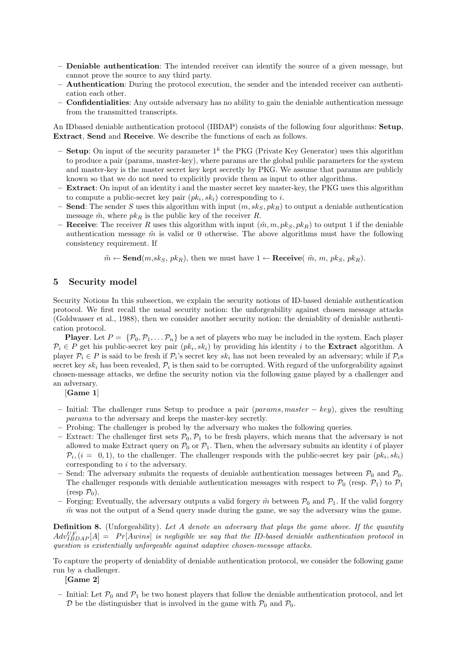- Deniable authentication: The intended receiver can identify the source of a given message, but cannot prove the source to any third party.
- Authentication: During the protocol execution, the sender and the intended receiver can authentication each other.
- Confidentialities: Any outside adversary has no ability to gain the deniable authentication message from the transmitted transcripts.

An IDbased deniable authentication protocol (IBDAP) consists of the following four algorithms: Setup, Extract, Send and Receive. We describe the functions of each as follows.

- Setup: On input of the security parameter  $1^k$  the PKG (Private Key Generator) uses this algorithm to produce a pair (params, master-key), where params are the global public parameters for the system and master-key is the master secret key kept secretly by PKG. We assume that params are publicly known so that we do not need to explicitly provide them as input to other algorithms.
- Extract: On input of an identity i and the master secret key master-key, the PKG uses this algorithm to compute a public-secret key pair  $(pk_i, sk_i)$  corresponding to i.
- Send: The sender S uses this algorithm with input  $(m, sk_S, pk_R)$  to output a deniable authentication message  $\tilde{m}$ , where  $pk_R$  is the public key of the receiver R.
- **Receive:** The receiver R uses this algorithm with input  $(\tilde{m}, m, pk_S, pk_R)$  to output 1 if the deniable authentication message  $\tilde{m}$  is valid or 0 otherwise. The above algorithms must have the following consistency requirement. If

 $\tilde{m} \leftarrow \textbf{Send}(m, sk_S, \ p k_R),$  then we must have  $1 \leftarrow \textbf{Receive}(\ \tilde{m}, \ m, \ p k_S, \ p k_R).$ 

### 5 Security model

Security Notions In this subsection, we explain the security notions of ID-based deniable authentication protocol. We first recall the usual security notion: the unforgeability against chosen message attacks (Goldwasser et al., 1988), then we consider another security notion: the deniablity of deniable authentication protocol.

**Player.** Let  $P = \{P_0, P_1, \ldots, P_n\}$  be a set of players who may be included in the system. Each player  $\mathcal{P}_i \in P$  get his public-secret key pair  $(pk_i, sk_i)$  by providing his identity i to the **Extract** algorithm. A player  $P_i \in P$  is said to be fresh if  $P_i$ 's secret key  $sk_i$  has not been revealed by an adversary; while if  $P_i$ s secret key  $sk_i$  has been revealed,  $\mathcal{P}_i$  is then said to be corrupted. With regard of the unforgeability against chosen-message attacks, we define the security notion via the following game played by a challenger and an adversary.

[Game 1]

- Initial: The challenger runs Setup to produce a pair (params, master  $key$ ), gives the resulting params to the adversary and keeps the master-key secretly.
- Probing: The challenger is probed by the adversary who makes the following queries.
- Extract: The challenger first sets  $\mathcal{P}_0$ ,  $\mathcal{P}_1$  to be fresh players, which means that the adversary is not allowed to make Extract query on  $\mathcal{P}_0$  or  $\mathcal{P}_1$ . Then, when the adversary submits an identity i of player  $\mathcal{P}_i$ ,  $(i = 0, 1)$ , to the challenger. The challenger responds with the public-secret key pair  $(pk_i, sk_i)$ corresponding to i to the adversary.
- Send: The adversary submits the requests of deniable authentication messages between  $\mathcal{P}_0$  and  $\mathcal{P}_0$ . The challenger responds with deniable authentication messages with respect to  $\mathcal{P}_0$  (resp.  $\mathcal{P}_1$ ) to  $\mathcal{P}_1$  $(\text{resp } \mathcal{P}_0).$
- Forging: Eventually, the adversary outputs a valid forgery  $\tilde{m}$  between  $\mathcal{P}_0$  and  $\mathcal{P}_1$ . If the valid forgery  $\tilde{m}$  was not the output of a Send query made during the game, we say the adversary wins the game.

**Definition 8.** (Unforgeability). Let A denote an adversary that plays the game above. If the quantity  $Adv_{IBDAP}^{UF}[A] = Pr[Awins]$  is negligible we say that the ID-based deniable authentication protocol in question is existentially unforgeable against adaptive chosen-message attacks.

To capture the property of deniablity of deniable authentication protocol, we consider the following game run by a challenger.

[Game 2]

– Initial: Let  $\mathcal{P}_0$  and  $\mathcal{P}_1$  be two honest players that follow the deniable authentication protocol, and let  $\mathcal D$  be the distinguisher that is involved in the game with  $\mathcal P_0$  and  $\mathcal P_0$ .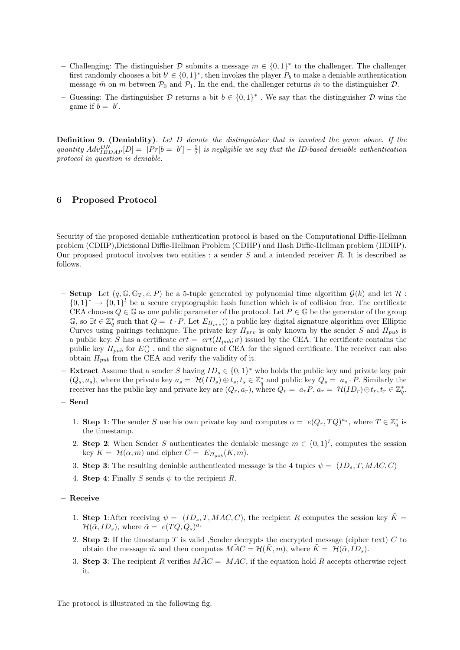- Challenging: The distinguisher  $D$  submits a message  $m \in \{0,1\}^*$  to the challenger. The challenger first randomly chooses a bit  $b' \in \{0,1\}^*$ , then invokes the player  $P_b$  to make a deniable authentication message  $\tilde{m}$  on m between  $\mathcal{P}_0$  and  $\mathcal{P}_1$ . In the end, the challenger returns  $\tilde{m}$  to the distinguisher  $\mathcal{D}$ .
- Guessing: The distinguisher  $\mathcal D$  returns a bit  $b \in \{0,1\}^*$ . We say that the distinguisher  $\mathcal D$  wins the game if  $b = b'$ .

**Definition 9.** (Deniablity). Let D denote the distinguisher that is involved the game above. If the quantity  $Adv_{IBDAP}^{DN}[D] = |Pr[b = b'] - \frac{1}{2}|$  is negligible we say that the ID-based deniable authentication protocol in question is deniable.

# 6 Proposed Protocol

Security of the proposed deniable authentication protocol is based on the Computational Diffie-Hellman problem (CDHP),Dicisional Diffie-Hellman Problem (CDHP) and Hash Diffie-Hellman problem (HDHP). Our proposed protocol involves two entities : a sender S and a intended receiver R. It is described as follows.

- Setup Let  $(q, \mathbb{G}, \mathbb{G}_T, e, P)$  be a 5-tuple generated by polynomial time algorithm  $\mathcal{G}(k)$  and let  $\mathcal{H}$ :  $\{0,1\}^* \to \{0,1\}^l$  be a secure cryptographic hash function which is of collision free. The certificate CEA chooses  $Q \in \mathbb{G}$  as one public parameter of the protocol. Let  $P \in \mathbb{G}$  be the generator of the group G, so  $\exists t \in \mathbb{Z}_q^*$  such that  $Q = t \cdot P$ . Let  $E_{\Pi_{prv}}(t)$  a public key digital signature algorithm over Elliptic Curves using pairings technique. The private key  $\Pi_{prv}$  is only known by the sender S and  $\Pi_{pub}$  is a public key. S has a certificate  $crt = crt(\Pi_{pub}; \sigma)$  issued by the CEA. The certificate contains the public key  $\Pi_{pub}$  for  $E()$ , and the signature of CEA for the signed certificate. The receiver can also obtain  $\Pi_{pub}$  from the CEA and verify the validity of it.
- **Extract** Assume that a sender S having  $ID_s \in \{0,1\}^*$  who holds the public key and private key pair  $(Q_s, a_s)$ , where the private key  $a_s = H(ID_s) \oplus t_s, t_s \in \mathbb{Z}_q^*$  and public key  $Q_s = a_s \cdot P$ . Similarly the receiver has the public key and private key are  $(Q_r, a_r)$ , where  $Q_r = a_r P$ ,  $a_r = H(ID_r) \oplus t_r$ ,  $t_r \in \mathbb{Z}_q^*$ .
- Send
	- 1. Step 1: The sender S use his own private key and computes  $\alpha = e(Q_r, TQ)^{a_s}$ , where  $T \in \mathbb{Z}_q^*$  is the timestamp.
	- 2. Step 2: When Sender S authenticates the deniable message  $m \in \{0,1\}^l$ , computes the session key  $K = \mathcal{H}(\alpha, m)$  and cipher  $C = E_{\Pi_{sub}}(K, m)$ .
	- 3. Step 3: The resulting deniable authenticated message is the 4 tuples  $\psi = (ID_s, T, MAC, C)$
	- 4. Step 4: Finally S sends  $\psi$  to the recipient R.
- Receive
	- 1. Step 1:After receiving  $\psi = (ID_s, T, MAC, C)$ , the recipient R computes the session key  $\tilde{K} =$  $\mathcal{H}(\tilde{\alpha}, ID_s)$ , where  $\tilde{\alpha} = e(TQ, Q_s)^{a_r}$
	- 2. Step 2: If the timestamp  $T$  is valid , Sender decrypts the encrypted message (cipher text)  $C$  to obtain the message  $\tilde{m}$  and then computes  $\tilde{MAC} = \mathcal{H}(\tilde{K}, m)$ , where  $\tilde{K} = \mathcal{H}(\tilde{\alpha}, ID_s)$ .
	- 3. Step 3: The recipient R verifies  $\widetilde{MAC} = MAC$ , if the equation hold R accepts otherwise reject it.

The protocol is illustrated in the following fig.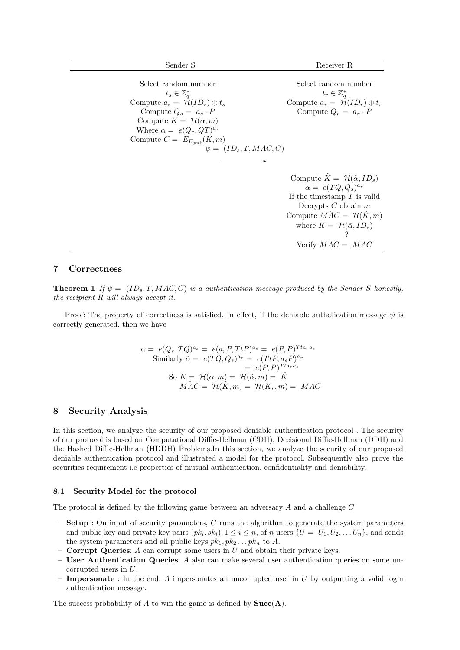| Sender S                                                                                                                                                                                                                                                                        | Receiver R                                                                                                                                                                                                                                                                      |
|---------------------------------------------------------------------------------------------------------------------------------------------------------------------------------------------------------------------------------------------------------------------------------|---------------------------------------------------------------------------------------------------------------------------------------------------------------------------------------------------------------------------------------------------------------------------------|
| Select random number<br>$t_s \in \mathbb{Z}_a^*$<br>Compute $a_s = \mathcal{H}(ID_s) \oplus t_s$<br>Compute $Q_s = a_s \cdot P$<br>Compute $K = \mathcal{H}(\alpha, m)$<br>Where $\alpha = e(Q_r, QT)^{a_s}$<br>Compute $C = E_{\Pi_{sub}}(K, m)$<br>$\psi = (ID_s, T, MAC, C)$ | Select random number<br>$t_r \in \mathbb{Z}_q^*$<br>Compute $a_r = \mathcal{H}(ID_r) \oplus t_r$<br>Compute $Q_r = a_r \cdot P$                                                                                                                                                 |
|                                                                                                                                                                                                                                                                                 | Compute $\tilde{K} = \mathcal{H}(\tilde{\alpha}, ID_s)$<br>$\tilde{\alpha} = e(TQ, Q_s)^{a_r}$<br>If the timestamp $T$ is valid<br>Decrypts $C$ obtain $m$<br>Compute $\widehat{MAC} = \mathcal{H}(K,m)$<br>where $K = \mathcal{H}(\tilde{\alpha}, ID_s)$<br>Verify $MAC = MAC$ |

# 7 Correctness

**Theorem 1** If  $\psi = (ID_s, T, MAC, C)$  is a authentication message produced by the Sender S honestly, the recipient R will always accept it.

Proof: The property of correctness is satisfied. In effect, if the deniable authetication message  $\psi$  is correctly generated, then we have

$$
\alpha = e(Q_r, TQ)^{a_s} = e(a_r P, TtP)^{a_s} = e(P, P)^{Tta_r a_s}
$$
  
\nSimilarly  $\tilde{\alpha} = e(TQ, Q_s)^{a_r} = e(TtP, a_s P)^{a_r}$   
\n $= e(P, P)^{Tta_r a_s}$   
\nSo  $K = \mathcal{H}(\alpha, m) = \mathcal{H}(\tilde{\alpha}, m) = \tilde{K}$   
\n $\tilde{MAC} = \mathcal{H}(\tilde{K}, m) = \mathcal{H}(K, m) = MAC$ 

# 8 Security Analysis

In this section, we analyze the security of our proposed deniable authentication protocol . The security of our protocol is based on Computational Diffie-Hellman (CDH), Decisional Diffie-Hellman (DDH) and the Hashed Diffie-Hellman (HDDH) Problems.In this section, we analyze the security of our proposed deniable authentication protocol and illustrated a model for the protocol. Subsequently also prove the securities requirement i.e properties of mutual authentication, confidentiality and deniability.

#### 8.1 Security Model for the protocol

The protocol is defined by the following game between an adversary A and a challenge C

- $-$  Setup : On input of security parameters, C runs the algorithm to generate the system parameters and public key and private key pairs  $(pk_i, sk_i), 1 \leq i \leq n$ , of n users  $\{U = U_1, U_2, \ldots U_n\}$ , and sends the system parameters and all public keys  $pk_1, pk_2 \ldots pk_n$  to A.
- **Corrupt Queries:**  $A$  can corrupt some users in  $U$  and obtain their private keys.
- User Authentication Queries: A also can make several user authentication queries on some uncorrupted users in U.
- Impersonate : In the end,  $\tilde{A}$  impersonates an uncorrupted user in  $U$  by outputting a valid login authentication message.

The success probability of A to win the game is defined by  $Succ(A)$ .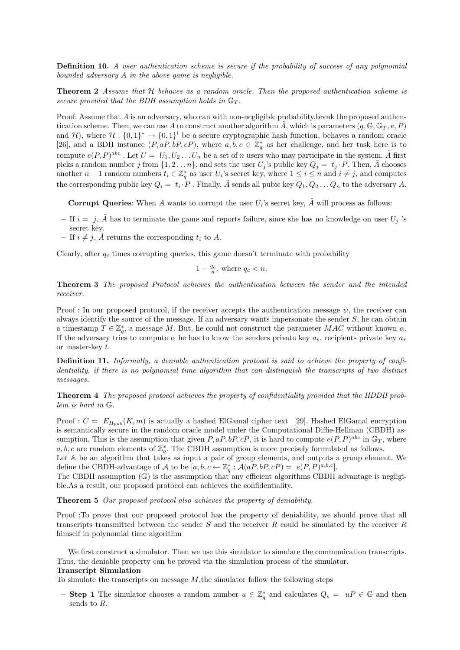Definition 10. A user authentication scheme is secure if the probability of success of any polynomial bounded adversary A in the above game is negligible.

**Theorem 2** Assume that H behaves as a random oracle. Then the proposed authentication scheme is secure provided that the BDH assumption holds in  $\mathbb{G}_T$ .

Proof: Assume that A is an adversary, who can with non-negligible probability, break the proposed authentication scheme. Then, we can use A to construct another algorithm  $\tilde{A}$ , which is parameters  $(q, \mathbb{G}, \mathbb{G}_T, e, P)$ and H), where  $\mathcal{H}: \{0,1\}^* \to \{0,1\}^l$  be a secure cryptographic hash function, behaves a random oracle [26], and a BDH instance  $(P, aP, bP, cP)$ , where  $a, b, c \in \mathbb{Z}_q^*$  as her challenge, and her task here is to compute  $e(P, P)^{abc}$ . Let  $U = U_1, U_2, \ldots, U_n$  be a set of n users who may participate in the system.  $\tilde{A}$  first picks a random number j from  $\{1, 2 \ldots n\}$ , and sets the user  $U_j$ 's public key  $Q_j = t_j \cdot P$ . Then,  $\tilde{A}$  chooses another  $n-1$  random numbers  $t_i \in \mathbb{Z}_q^*$  as user  $U_i$ 's secret key, where  $1 \leq i \leq n$  and  $i \neq j$ , and computes the corresponding public key  $Q_i = t_i \cdot P$ . Finally,  $\tilde{A}$  sends all pubic key  $Q_1, Q_2 \ldots Q_n$  to the adversary A.

**Corrupt Queries:** When A wants to corrupt the user  $U_i$ 's secret key,  $\tilde{A}$  will process as follows:

- If  $i = j$ ,  $\tilde{A}$  has to terminate the game and reports failure, since she has no knowledge on user  $U_j$  's secret key.
- If  $i \neq j$ , A returns the corresponding  $t_i$  to A.

Clearly, after  $q_c$  times corrupting queries, this game doesn't terminate with probability

$$
1-\tfrac{q_c}{n}, \text{ where } q_c < n.
$$

Theorem 3 The proposed Protocol achieves the authentication between the sender and the intended receiver.

Proof : In our proposed protocol, if the receiver accepts the authentication message  $\psi$ , the receiver can always identify the source of the message. If an adversary wants impersonate the sender  $S$ , he can obtain a timestamp  $T \in \mathbb{Z}_q^*$ , a message M. But, he could not construct the parameter MAC without known  $\alpha$ . If the adversary tries to compute  $\alpha$  he has to know the senders private key  $a_s$ , recipients private key  $a_r$ or master-key t.

Definition 11. Informally, a deniable authentication protocol is said to achieve the property of confidentiality, if there is no polynomial time algorithm that can distinguish the transcripts of two distinct messages.

Theorem 4 The proposed protocol achieves the property of confidentiality provided that the HDDH problem is hard in G.

Proof :  $C = E_{\Pi_{sub}}(K, m)$  is actually a hashed ElGamal cipher text [29]. Hashed ElGamal encryption is semantically secure in the random oracle model under the Computational Diffie-Hellman (CBDH) assumption. This is the assumption that given  $P$ ,  $aP$ ,  $bP$ ,  $cP$ , it is hard to compute  $e(P, P)^{abc}$  in  $\mathbb{G}_T$ , where a, b, c are random elements of  $\mathbb{Z}_q^*$ . The CBDH assumption is more precisely formulated as follows.

Let A be an algorithm that takes as input a pair of group elements, and outputs a group element. We define the CBDH-advantage of A to be  $[a, b, c \leftarrow \mathbb{Z}_q^* : \mathcal{A}(aP, bP, cP) = e(P, P)^{a, b, c}].$ 

The CBDH assumption  $(\mathbb{G})$  is the assumption that any efficient algorithms CBDH advantage is negligible.As a result, our proposed protocol can achieves the confidentiality.

Theorem 5 Our proposed protocol also achieves the property of deniability.

Proof :To prove that our proposed protocol has the property of deniability, we should prove that all transcripts transmitted between the sender S and the receiver R could be simulated by the receiver R himself in polynomial time algorithm

We first construct a simulator. Then we use this simulator to simulate the communication transcripts. Thus, the deniable property can be proved via the simulation process of the simulator.

### Transcript Simulation

To simulate the transcripts on message  $M$ , the simulator follow the following steps

- Step 1 The simulator chooses a random number  $u \in \mathbb{Z}_q^*$  and calculates  $Q_s = uP \in \mathbb{G}$  and then sends to R.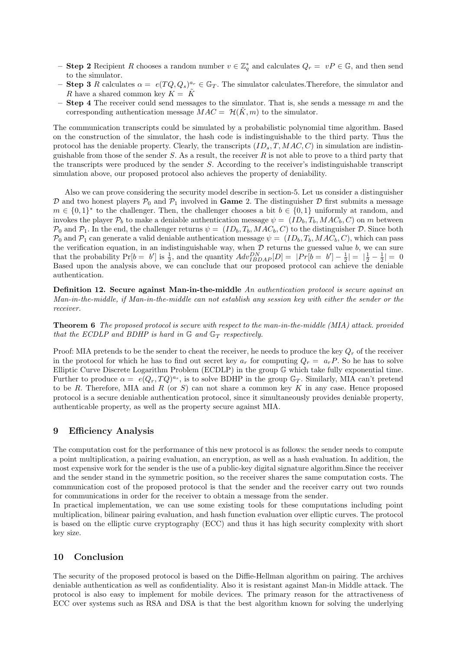- **Step 2** Recipient R chooses a random number  $v \in \mathbb{Z}_q^*$  and calculates  $Q_r = vP \in \mathbb{G}$ , and then send to the simulator.
- **Step 3** R calculates  $\alpha = e(TQ, Q_s)^{a_r} \in \mathbb{G}_T$ . The simulator calculates. Therefore, the simulator and R have a shared common key  $K = \tilde{K}$
- **Step 4** The receiver could send messages to the simulator. That is, she sends a message  $m$  and the corresponding authentication message  $MAC = H(\tilde{K}, m)$  to the simulator.

The communication transcripts could be simulated by a probabilistic polynomial time algorithm. Based on the construction of the simulator, the hash code is indistinguishable to the third party. Thus the protocol has the deniable property. Clearly, the transcripts  $(ID_s, T, MAC, C)$  in simulation are indistinguishable from those of the sender  $S$ . As a result, the receiver  $R$  is not able to prove to a third party that the transcripts were produced by the sender  $S$ . According to the receiver's indistinguishable transcript simulation above, our proposed protocol also achieves the property of deniability.

Also we can prove considering the security model describe in section-5. Let us consider a distinguisher  $\mathcal D$  and two honest players  $\mathcal P_0$  and  $\mathcal P_1$  involved in **Game** 2. The distinguisher  $\mathcal D$  first submits a message  $m \in \{0,1\}^*$  to the challenger. Then, the challenger chooses a bit  $b \in \{0,1\}$  uniformly at random, and invokes the player  $P_b$  to make a deniable authentication message  $\psi = (ID_b, T_b, MAC_b, C)$  on m between  $\mathcal{P}_0$  and  $\mathcal{P}_1$ . In the end, the challenger returns  $\psi = (ID_b, T_b, MAC_b, C)$  to the distinguisher D. Since both  $\mathcal{P}_0$  and  $\mathcal{P}_1$  can generate a valid deniable authentication message  $\psi = (ID_b, T_b, MAC_b, C)$ , which can pass the verification equation, in an indistinguishable way, when  $D$  returns the guessed value  $b$ , we can sure that the probability  $Pr[b = b']$  is  $\frac{1}{2}$ , and the quantity  $Adv_{IBDAP}^{DN}[D] = |Pr[b = b'] - \frac{1}{2}| = |\frac{1}{2} - \frac{1}{2}| = 0$ Based upon the analysis above, we can conclude that our proposed protocol can achieve the deniable authentication.

Definition 12. Secure against Man-in-the-middle An authentication protocol is secure against an Man-in-the-middle, if Man-in-the-middle can not establish any session key with either the sender or the receiver.

Theorem 6 The proposed protocol is secure with respect to the man-in-the-middle (MIA) attack. provided that the ECDLP and BDHP is hard in  $\mathbb{G}$  and  $\mathbb{G}_T$  respectively.

Proof: MIA pretends to be the sender to cheat the receiver, he needs to produce the key  $Q_r$  of the receiver in the protocol for which he has to find out secret key  $a_r$  for computing  $Q_r = a_r P$ . So he has to solve Elliptic Curve Discrete Logarithm Problem (ECDLP) in the group G which take fully exponential time. Further to produce  $\alpha = e(Q_r, TQ)^{a_s}$ , is to solve BDHP in the group  $\mathbb{G}_T$ . Similarly, MIA can't pretend to be R. Therefore, MIA and R (or S) can not share a common key K in any case. Hence proposed protocol is a secure deniable authentication protocol, since it simultaneously provides deniable property, authenticable property, as well as the property secure against MIA.

## 9 Efficiency Analysis

The computation cost for the performance of this new protocol is as follows: the sender needs to compute a point multiplication, a pairing evaluation, an encryption, as well as a hash evaluation. In addition, the most expensive work for the sender is the use of a public-key digital signature algorithm.Since the receiver and the sender stand in the symmetric position, so the receiver shares the same computation costs. The communication cost of the proposed protocol is that the sender and the receiver carry out two rounds for communications in order for the receiver to obtain a message from the sender.

In practical implementation, we can use some existing tools for these computations including point multiplication, bilinear pairing evaluation, and hash function evaluation over elliptic curves. The protocol is based on the elliptic curve cryptography (ECC) and thus it has high security complexity with short key size.

# 10 Conclusion

The security of the proposed protocol is based on the Diffie-Hellman algorithm on pairing. The archives deniable authentication as well as confidentiality. Also it is resistant against Man-in Middle attack. The protocol is also easy to implement for mobile devices. The primary reason for the attractiveness of ECC over systems such as RSA and DSA is that the best algorithm known for solving the underlying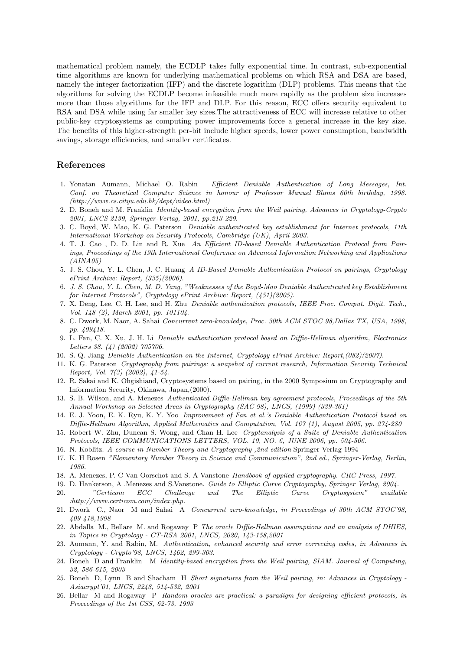mathematical problem namely, the ECDLP takes fully exponential time. In contrast, sub-exponential time algorithms are known for underlying mathematical problems on which RSA and DSA are based, namely the integer factorization (IFP) and the discrete logarithm (DLP) problems. This means that the algorithms for solving the ECDLP become infeasible much more rapidly as the problem size increases more than those algorithms for the IFP and DLP. For this reason, ECC offers security equivalent to RSA and DSA while using far smaller key sizes.The attractiveness of ECC will increase relative to other public-key cryptosystems as computing power improvements force a general increase in the key size. The benefits of this higher-strength per-bit include higher speeds, lower power consumption, bandwidth savings, storage efficiencies, and smaller certificates.

## References

- 1. Yonatan Aumann, Michael O. Rabin Efficient Deniable Authentication of Long Messages, Int. Conf. on Theoretical Computer Science in honour of Professor Manuel Blums 60th birthday, 1998. (http://www.cs.cityu.edu.hk/dept/video.html)
- 2. D. Boneh and M. Franklin Identity-based encryption from the Weil pairing, Advances in Cryptology-Crypto 2001, LNCS 2139, Springer-Verlag, 2001, pp.213-229.
- 3. C. Boyd, W. Mao, K. G. Paterson Deniable authenticated key establishment for Internet protocols, 11th International Workshop on Security Protocols, Cambridge (UK), April 2003.
- 4. T. J. Cao , D. D. Lin and R. Xue An Efficient ID-based Deniable Authentication Protocol from Pairings, Proceedings of the 19th International Conference on Advanced Information Networking and Applications  $(AINA05)$
- 5. J. S. Chou, Y. L. Chen, J. C. Huang A ID-Based Deniable Authentication Protocol on pairings, Cryptology ePrint Archive: Report, (335)(2006).
- 6. J. S. Chou, Y. L. Chen, M. D. Yang, "Weaknesses of the Boyd-Mao Deniable Authenticated key Establishment for Internet Protocols", Cryptology ePrint Archive: Report, (451)(2005).
- 7. X. Deng, Lee, C. H. Lee, and H. Zhu Deniable authentication protocols, IEEE Proc. Comput. Digit. Tech., Vol. 148 (2), March 2001, pp. 101104.
- 8. C. Dwork, M. Naor, A. Sahai Concurrent zero-knowledge, Proc. 30th ACM STOC 98,Dallas TX, USA, 1998, pp. 409418.
- 9. L. Fan, C. X. Xu, J. H. Li Deniable authentication protocol based on Diffie-Hellman algorithm, Electronics Letters 38. (4) (2002) 705706.
- 10. S. Q. Jiang Deniable Authentication on the Internet, Cryptology ePrint Archive: Report,(082)(2007).
- 11. K. G. Paterson Cryptography from pairings: a snapshot of current research, Information Security Technical Report, Vol. 7(3) (2002), 41-54.
- 12. R. Sakai and K. Ohgishiand, Cryptosystems based on pairing, in the 2000 Symposium on Cryptography and Information Security, Okinawa, Japan,(2000).
- 13. S. B. Wilson, and A. Menezes Authenticated Diffie-Hellman key agreement protocols, Proceedings of the 5th Annual Workshop on Selected Areas in Cryptography (SAC 98), LNCS, (1999) (339-361)
- 14. E. J. Yoon, E. K. Ryu, K. Y. Yoo Improvement of Fan et al.'s Deniable Authentication Protocol based on Diffie-Hellman Algorithm, Applied Mathematics and Computation, Vol. 167 (1), August 2005, pp. 274-280
- 15. Robert W. Zhu, Duncan S. Wong, and Chan H. Lee Cryptanalysis of a Suite of Deniable Authentication Protocols, IEEE COMMUNICATIONS LETTERS, VOL. 10, NO. 6, JUNE 2006, pp. 504-506.
- 16. N. Koblitz. A course in Number Theory and Cryptography ,2nd edition Springer-Verlag-1994
- 17. K. H Rosen "Elementary Number Theory in Science and Communication", 2nd ed., Springer-Verlag, Berlin, 1986.
- 18. A. Menezes, P. C Van Oorschot and S. A Vanstone Handbook of applied cryptography. CRC Press, 1997.
- 19. D. Hankerson, A .Menezes and S.Vanstone. Guide to Elliptic Curve Cryptography, Springer Verlag, 2004. 20. "Certicom ECC Challenge and The Elliptic Curve Cryptosystem" available :http://www.certicom.com/index.php.
- 21. Dwork C., Naor M and Sahai A Concurrent zero-knowledge, in Proceedings of 30th ACM STOC'98, 409-418,1998
- 22. Abdalla M., Bellare M. and Rogaway P The oracle Diffie-Hellman assumptions and an analysis of DHIES, in Topics in Cryptology - CT-RSA 2001, LNCS, 2020, 143-158,2001
- 23. Aumann, Y. and Rabin, M. Authentication, enhanced security and error correcting codes, in Advances in Cryptology - Crypto'98, LNCS, 1462, 299-303.
- 24. Boneh D and Franklin M Identity-based encryption from the Weil pairing, SIAM. Journal of Computing, 32, 586-615, 2003
- 25. Boneh D, Lynn B and Shacham H Short signatures from the Weil pairing, in: Advances in Cryptology Asiacrypt'01, LNCS, 2248, 514-532, 2001
- 26. Bellar M and Rogaway P Random oracles are practical: a paradigm for designing efficient protocols, in Proceedings of the 1st CSS, 62-73, 1993